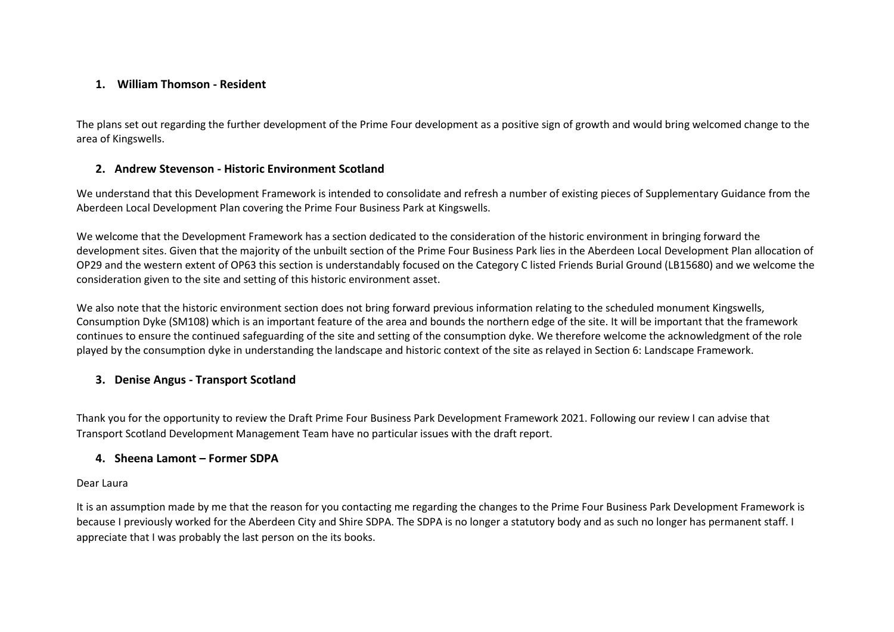#### **1. William Thomson - Resident**

The plans set out regarding the further development of the Prime Four development as a positive sign of growth and would bring welcomed change to the area of Kingswells.

#### **2. Andrew Stevenson - Historic Environment Scotland**

We understand that this Development Framework is intended to consolidate and refresh a number of existing pieces of Supplementary Guidance from the Aberdeen Local Development Plan covering the Prime Four Business Park at Kingswells.

We welcome that the Development Framework has a section dedicated to the consideration of the historic environment in bringing forward the development sites. Given that the majority of the unbuilt section of the Prime Four Business Park lies in the Aberdeen Local Development Plan allocation of OP29 and the western extent of OP63 this section is understandably focused on the Category C listed Friends Burial Ground (LB15680) and we welcome the consideration given to the site and setting of this historic environment asset.

We also note that the historic environment section does not bring forward previous information relating to the scheduled monument Kingswells, Consumption Dyke (SM108) which is an important feature of the area and bounds the northern edge of the site. It will be important that the framework continues to ensure the continued safeguarding of the site and setting of the consumption dyke. We therefore welcome the acknowledgment of the role played by the consumption dyke in understanding the landscape and historic context of the site as relayed in Section 6: Landscape Framework.

## **3. Denise Angus - Transport Scotland**

Thank you for the opportunity to review the Draft Prime Four Business Park Development Framework 2021. Following our review I can advise that Transport Scotland Development Management Team have no particular issues with the draft report.

#### **4. Sheena Lamont – Former SDPA**

#### Dear Laura

It is an assumption made by me that the reason for you contacting me regarding the changes to the Prime Four Business Park Development Framework is because I previously worked for the Aberdeen City and Shire SDPA. The SDPA is no longer a statutory body and as such no longer has permanent staff. I appreciate that I was probably the last person on the its books.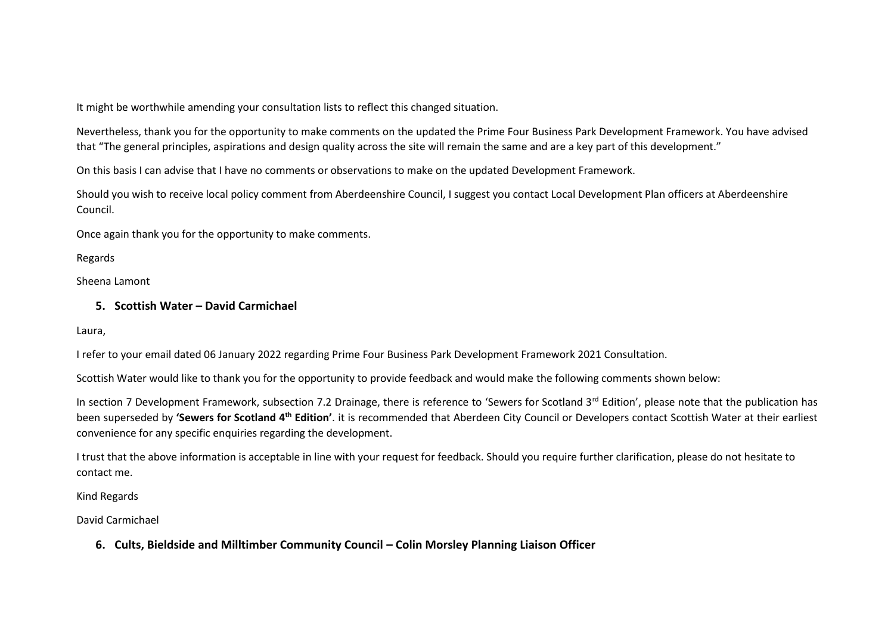It might be worthwhile amending your consultation lists to reflect this changed situation.

Nevertheless, thank you for the opportunity to make comments on the updated the Prime Four Business Park Development Framework. You have advised that "The general principles, aspirations and design quality across the site will remain the same and are a key part of this development."

On this basis I can advise that I have no comments or observations to make on the updated Development Framework.

Should you wish to receive local policy comment from Aberdeenshire Council, I suggest you contact Local Development Plan officers at Aberdeenshire Council.

Once again thank you for the opportunity to make comments.

Regards

Sheena Lamont

## **5. Scottish Water – David Carmichael**

Laura,

I refer to your email dated 06 January 2022 regarding Prime Four Business Park Development Framework 2021 Consultation.

Scottish Water would like to thank you for the opportunity to provide feedback and would make the following comments shown below:

In section 7 Development Framework, subsection 7.2 Drainage, there is reference to 'Sewers for Scotland 3<sup>rd</sup> Edition', please note that the publication has been superseded by **'Sewers for Scotland 4th Edition'**. it is recommended that Aberdeen City Council or Developers contact Scottish Water at their earliest convenience for any specific enquiries regarding the development.

I trust that the above information is acceptable in line with your request for feedback. Should you require further clarification, please do not hesitate to contact me.

Kind Regards

David Carmichael

**6. Cults, Bieldside and Milltimber Community Council – Colin Morsley Planning Liaison Officer**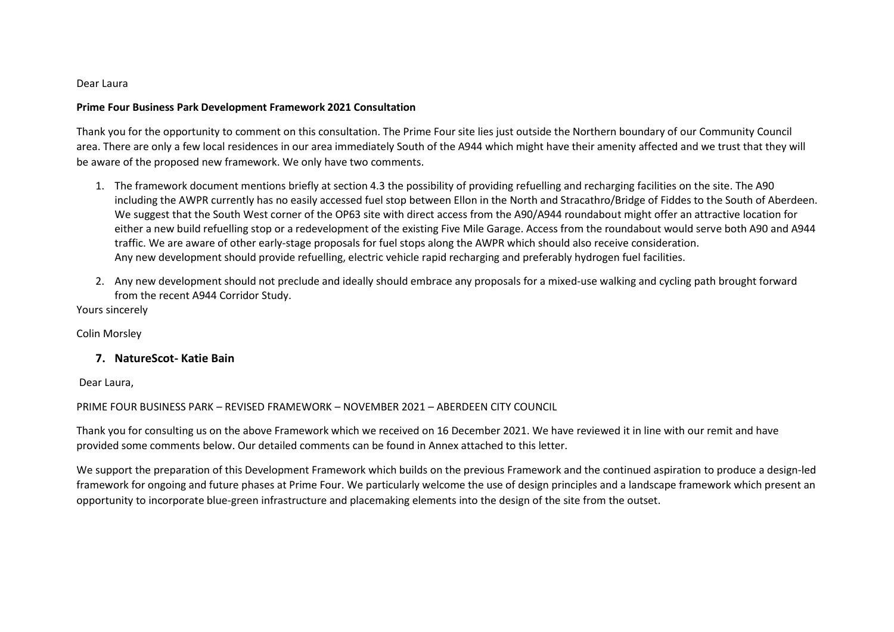#### Dear Laura

#### **Prime Four Business Park Development Framework 2021 Consultation**

Thank you for the opportunity to comment on this consultation. The Prime Four site lies just outside the Northern boundary of our Community Council area. There are only a few local residences in our area immediately South of the A944 which might have their amenity affected and we trust that they will be aware of the proposed new framework. We only have two comments.

- 1. The framework document mentions briefly at section 4.3 the possibility of providing refuelling and recharging facilities on the site. The A90 including the AWPR currently has no easily accessed fuel stop between Ellon in the North and Stracathro/Bridge of Fiddes to the South of Aberdeen. We suggest that the South West corner of the OP63 site with direct access from the A90/A944 roundabout might offer an attractive location for either a new build refuelling stop or a redevelopment of the existing Five Mile Garage. Access from the roundabout would serve both A90 and A944 traffic. We are aware of other early-stage proposals for fuel stops along the AWPR which should also receive consideration. Any new development should provide refuelling, electric vehicle rapid recharging and preferably hydrogen fuel facilities.
- 2. Any new development should not preclude and ideally should embrace any proposals for a mixed-use walking and cycling path brought forward from the recent A944 Corridor Study.

Yours sincerely

Colin Morsley

#### **7. NatureScot- Katie Bain**

Dear Laura,

#### PRIME FOUR BUSINESS PARK – REVISED FRAMEWORK – NOVEMBER 2021 – ABERDEEN CITY COUNCIL

Thank you for consulting us on the above Framework which we received on 16 December 2021. We have reviewed it in line with our remit and have provided some comments below. Our detailed comments can be found in Annex attached to this letter.

We support the preparation of this Development Framework which builds on the previous Framework and the continued aspiration to produce a design-led framework for ongoing and future phases at Prime Four. We particularly welcome the use of design principles and a landscape framework which present an opportunity to incorporate blue-green infrastructure and placemaking elements into the design of the site from the outset.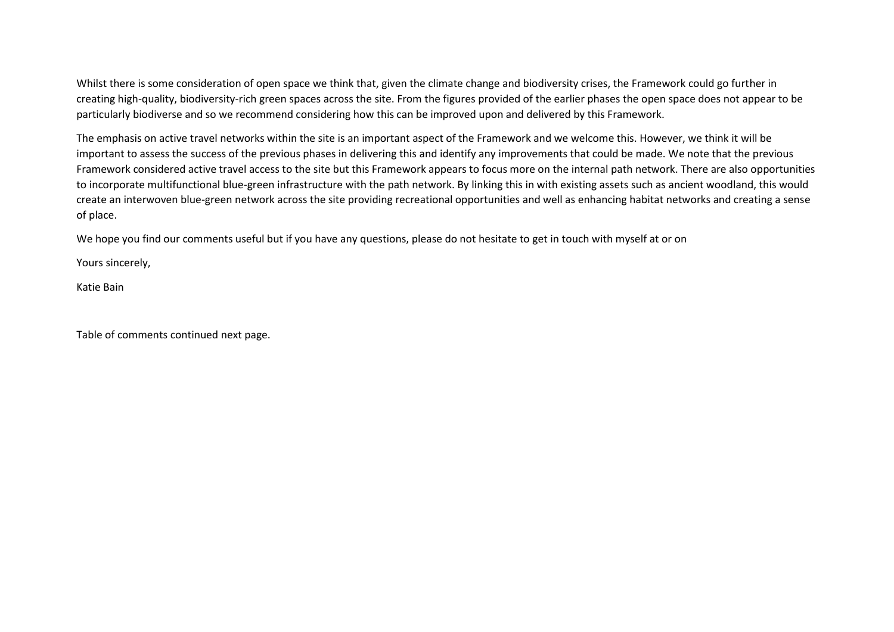Whilst there is some consideration of open space we think that, given the climate change and biodiversity crises, the Framework could go further in creating high-quality, biodiversity-rich green spaces across the site. From the figures provided of the earlier phases the open space does not appear to be particularly biodiverse and so we recommend considering how this can be improved upon and delivered by this Framework.

The emphasis on active travel networks within the site is an important aspect of the Framework and we welcome this. However, we think it will be important to assess the success of the previous phases in delivering this and identify any improvements that could be made. We note that the previous Framework considered active travel access to the site but this Framework appears to focus more on the internal path network. There are also opportunities to incorporate multifunctional blue-green infrastructure with the path network. By linking this in with existing assets such as ancient woodland, this would create an interwoven blue-green network across the site providing recreational opportunities and well as enhancing habitat networks and creating a sense of place.

We hope you find our comments useful but if you have any questions, please do not hesitate to get in touch with myself at or on

Yours sincerely,

Katie Bain

Table of comments continued next page.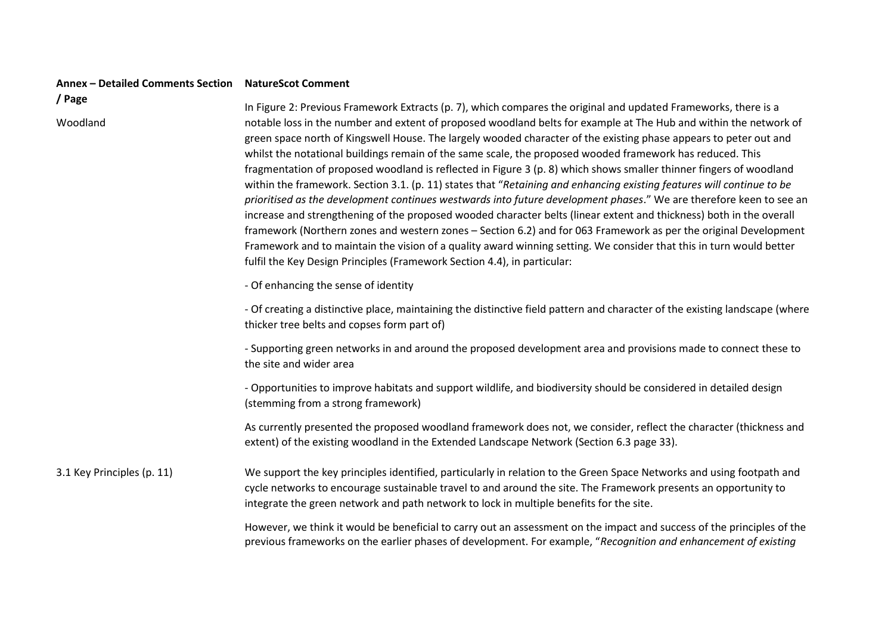# **Annex – Detailed Comments Section NatureScot Comment**

**/ Page** 

Woodland

In Figure 2: Previous Framework Extracts (p. 7), which compares the original and updated Frameworks, there is a notable loss in the number and extent of proposed woodland belts for example at The Hub and within the network of green space north of Kingswell House. The largely wooded character of the existing phase appears to peter out and whilst the notational buildings remain of the same scale, the proposed wooded framework has reduced. This fragmentation of proposed woodland is reflected in Figure 3 (p. 8) which shows smaller thinner fingers of woodland within the framework. Section 3.1. (p. 11) states that "*Retaining and enhancing existing features will continue to be prioritised as the development continues westwards into future development phases*." We are therefore keen to see an increase and strengthening of the proposed wooded character belts (linear extent and thickness) both in the overall framework (Northern zones and western zones – Section 6.2) and for 063 Framework as per the original Development Framework and to maintain the vision of a quality award winning setting. We consider that this in turn would better fulfil the Key Design Principles (Framework Section 4.4), in particular:

- Of enhancing the sense of identity

- Of creating a distinctive place, maintaining the distinctive field pattern and character of the existing landscape (where thicker tree belts and copses form part of)

- Supporting green networks in and around the proposed development area and provisions made to connect these to the site and wider area

- Opportunities to improve habitats and support wildlife, and biodiversity should be considered in detailed design (stemming from a strong framework)

As currently presented the proposed woodland framework does not, we consider, reflect the character (thickness and extent) of the existing woodland in the Extended Landscape Network (Section 6.3 page 33).

3.1 Key Principles (p. 11) We support the key principles identified, particularly in relation to the Green Space Networks and using footpath and cycle networks to encourage sustainable travel to and around the site. The Framework presents an opportunity to integrate the green network and path network to lock in multiple benefits for the site.

> However, we think it would be beneficial to carry out an assessment on the impact and success of the principles of the previous frameworks on the earlier phases of development. For example, "*Recognition and enhancement of existing*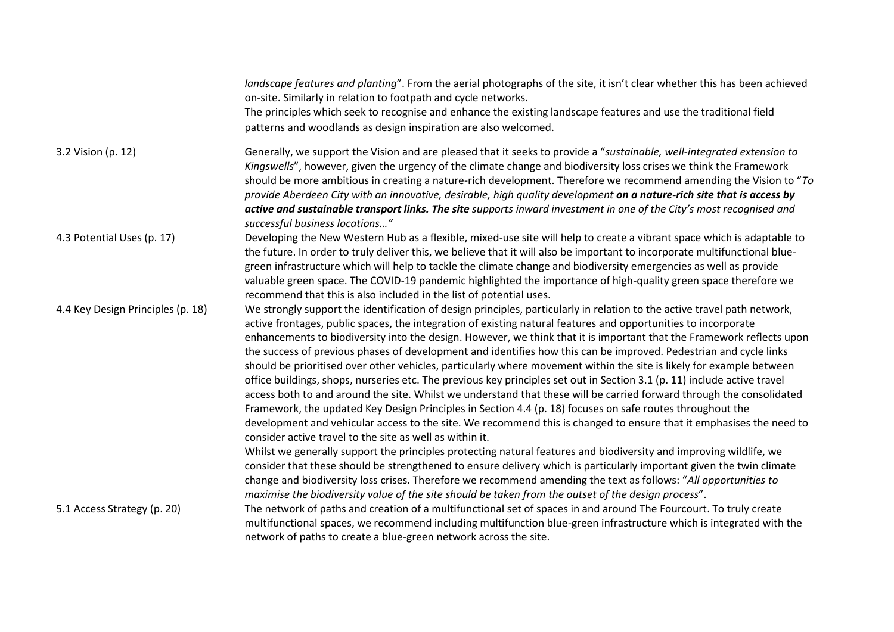|                                   | landscape features and planting". From the aerial photographs of the site, it isn't clear whether this has been achieved<br>on-site. Similarly in relation to footpath and cycle networks.                                                                                                                                                                                                                                                                                                                                                                                                                                                                                                                                                                                                                                                                                                                                                                                                                                                                                                                                                                                                                                                                                                                                                                                                                                                                                                                                                                                                                                                   |
|-----------------------------------|----------------------------------------------------------------------------------------------------------------------------------------------------------------------------------------------------------------------------------------------------------------------------------------------------------------------------------------------------------------------------------------------------------------------------------------------------------------------------------------------------------------------------------------------------------------------------------------------------------------------------------------------------------------------------------------------------------------------------------------------------------------------------------------------------------------------------------------------------------------------------------------------------------------------------------------------------------------------------------------------------------------------------------------------------------------------------------------------------------------------------------------------------------------------------------------------------------------------------------------------------------------------------------------------------------------------------------------------------------------------------------------------------------------------------------------------------------------------------------------------------------------------------------------------------------------------------------------------------------------------------------------------|
|                                   | The principles which seek to recognise and enhance the existing landscape features and use the traditional field<br>patterns and woodlands as design inspiration are also welcomed.                                                                                                                                                                                                                                                                                                                                                                                                                                                                                                                                                                                                                                                                                                                                                                                                                                                                                                                                                                                                                                                                                                                                                                                                                                                                                                                                                                                                                                                          |
| 3.2 Vision (p. 12)                | Generally, we support the Vision and are pleased that it seeks to provide a "sustainable, well-integrated extension to<br>Kingswells", however, given the urgency of the climate change and biodiversity loss crises we think the Framework<br>should be more ambitious in creating a nature-rich development. Therefore we recommend amending the Vision to "To<br>provide Aberdeen City with an innovative, desirable, high quality development on a nature-rich site that is access by<br>active and sustainable transport links. The site supports inward investment in one of the City's most recognised and<br>successful business locations"                                                                                                                                                                                                                                                                                                                                                                                                                                                                                                                                                                                                                                                                                                                                                                                                                                                                                                                                                                                          |
| 4.3 Potential Uses (p. 17)        | Developing the New Western Hub as a flexible, mixed-use site will help to create a vibrant space which is adaptable to<br>the future. In order to truly deliver this, we believe that it will also be important to incorporate multifunctional blue-<br>green infrastructure which will help to tackle the climate change and biodiversity emergencies as well as provide<br>valuable green space. The COVID-19 pandemic highlighted the importance of high-quality green space therefore we<br>recommend that this is also included in the list of potential uses.                                                                                                                                                                                                                                                                                                                                                                                                                                                                                                                                                                                                                                                                                                                                                                                                                                                                                                                                                                                                                                                                          |
| 4.4 Key Design Principles (p. 18) | We strongly support the identification of design principles, particularly in relation to the active travel path network,<br>active frontages, public spaces, the integration of existing natural features and opportunities to incorporate<br>enhancements to biodiversity into the design. However, we think that it is important that the Framework reflects upon<br>the success of previous phases of development and identifies how this can be improved. Pedestrian and cycle links<br>should be prioritised over other vehicles, particularly where movement within the site is likely for example between<br>office buildings, shops, nurseries etc. The previous key principles set out in Section 3.1 (p. 11) include active travel<br>access both to and around the site. Whilst we understand that these will be carried forward through the consolidated<br>Framework, the updated Key Design Principles in Section 4.4 (p. 18) focuses on safe routes throughout the<br>development and vehicular access to the site. We recommend this is changed to ensure that it emphasises the need to<br>consider active travel to the site as well as within it.<br>Whilst we generally support the principles protecting natural features and biodiversity and improving wildlife, we<br>consider that these should be strengthened to ensure delivery which is particularly important given the twin climate<br>change and biodiversity loss crises. Therefore we recommend amending the text as follows: "All opportunities to<br>maximise the biodiversity value of the site should be taken from the outset of the design process". |
| 5.1 Access Strategy (p. 20)       | The network of paths and creation of a multifunctional set of spaces in and around The Fourcourt. To truly create<br>multifunctional spaces, we recommend including multifunction blue-green infrastructure which is integrated with the<br>network of paths to create a blue-green network across the site.                                                                                                                                                                                                                                                                                                                                                                                                                                                                                                                                                                                                                                                                                                                                                                                                                                                                                                                                                                                                                                                                                                                                                                                                                                                                                                                                 |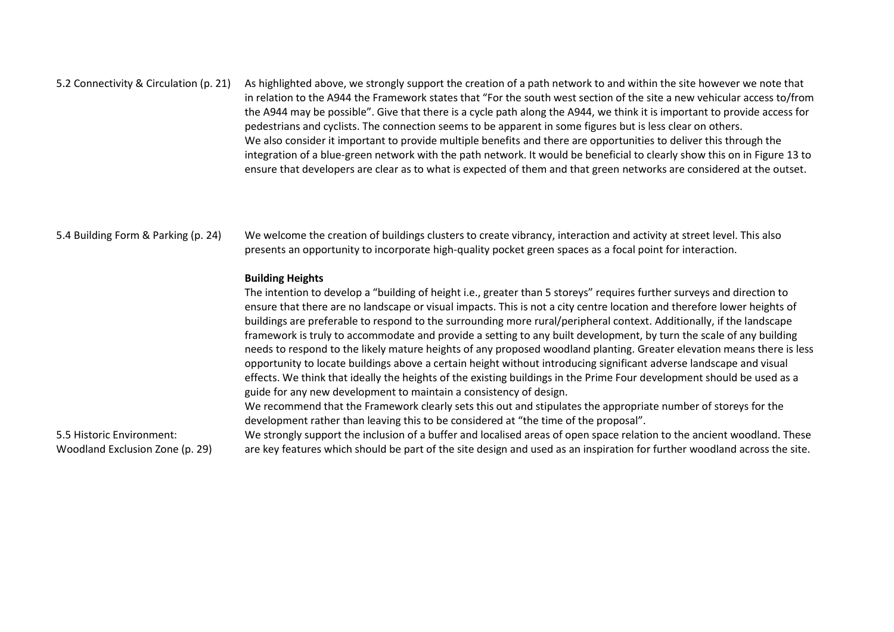#### 5.2 Connectivity & Circulation (p. 21) As highlighted above, we strongly support the creation of a path network to and within the site however we note that in relation to the A944 the Framework states that "For the south west section of the site a new vehicular access to/from the A944 may be possible". Give that there is a cycle path along the A944, we think it is important to provide access for pedestrians and cyclists. The connection seems to be apparent in some figures but is less clear on others. We also consider it important to provide multiple benefits and there are opportunities to deliver this through the integration of a blue-green network with the path network. It would be beneficial to clearly show this on in Figure 13 to ensure that developers are clear as to what is expected of them and that green networks are considered at the outset.

5.4 Building Form & Parking (p. 24) We welcome the creation of buildings clusters to create vibrancy, interaction and activity at street level. This also presents an opportunity to incorporate high-quality pocket green spaces as a focal point for interaction.

#### **Building Heights**

The intention to develop a "building of height i.e., greater than 5 storeys" requires further surveys and direction to ensure that there are no landscape or visual impacts. This is not a city centre location and therefore lower heights of buildings are preferable to respond to the surrounding more rural/peripheral context. Additionally, if the landscape framework is truly to accommodate and provide a setting to any built development, by turn the scale of any building needs to respond to the likely mature heights of any proposed woodland planting. Greater elevation means there is less opportunity to locate buildings above a certain height without introducing significant adverse landscape and visual effects. We think that ideally the heights of the existing buildings in the Prime Four development should be used as a guide for any new development to maintain a consistency of design.

We recommend that the Framework clearly sets this out and stipulates the appropriate number of storeys for the development rather than leaving this to be considered at "the time of the proposal".

5.5 Historic Environment: Woodland Exclusion Zone (p. 29)

We strongly support the inclusion of a buffer and localised areas of open space relation to the ancient woodland. These are key features which should be part of the site design and used as an inspiration for further woodland across the site.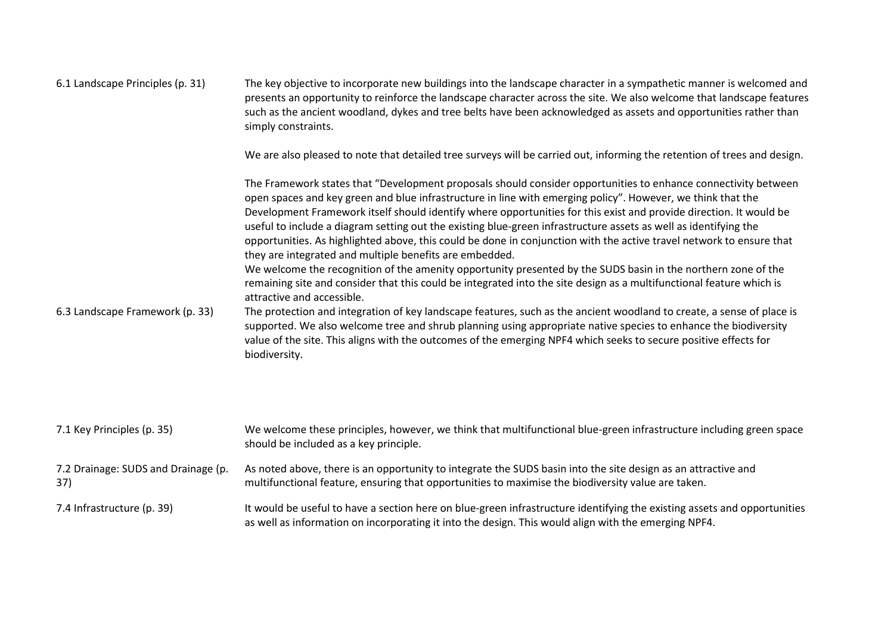| 6.1 Landscape Principles (p. 31)           | The key objective to incorporate new buildings into the landscape character in a sympathetic manner is welcomed and<br>presents an opportunity to reinforce the landscape character across the site. We also welcome that landscape features<br>such as the ancient woodland, dykes and tree belts have been acknowledged as assets and opportunities rather than<br>simply constraints.                                                                                                                                                                                                                                                                                                                                                                                                                                                                                                                                                                                                                                                                                                                                                                                                                                                                                                                           |
|--------------------------------------------|--------------------------------------------------------------------------------------------------------------------------------------------------------------------------------------------------------------------------------------------------------------------------------------------------------------------------------------------------------------------------------------------------------------------------------------------------------------------------------------------------------------------------------------------------------------------------------------------------------------------------------------------------------------------------------------------------------------------------------------------------------------------------------------------------------------------------------------------------------------------------------------------------------------------------------------------------------------------------------------------------------------------------------------------------------------------------------------------------------------------------------------------------------------------------------------------------------------------------------------------------------------------------------------------------------------------|
|                                            | We are also pleased to note that detailed tree surveys will be carried out, informing the retention of trees and design.                                                                                                                                                                                                                                                                                                                                                                                                                                                                                                                                                                                                                                                                                                                                                                                                                                                                                                                                                                                                                                                                                                                                                                                           |
| 6.3 Landscape Framework (p. 33)            | The Framework states that "Development proposals should consider opportunities to enhance connectivity between<br>open spaces and key green and blue infrastructure in line with emerging policy". However, we think that the<br>Development Framework itself should identify where opportunities for this exist and provide direction. It would be<br>useful to include a diagram setting out the existing blue-green infrastructure assets as well as identifying the<br>opportunities. As highlighted above, this could be done in conjunction with the active travel network to ensure that<br>they are integrated and multiple benefits are embedded.<br>We welcome the recognition of the amenity opportunity presented by the SUDS basin in the northern zone of the<br>remaining site and consider that this could be integrated into the site design as a multifunctional feature which is<br>attractive and accessible.<br>The protection and integration of key landscape features, such as the ancient woodland to create, a sense of place is<br>supported. We also welcome tree and shrub planning using appropriate native species to enhance the biodiversity<br>value of the site. This aligns with the outcomes of the emerging NPF4 which seeks to secure positive effects for<br>biodiversity. |
| 7.1 Key Principles (p. 35)                 | We welcome these principles, however, we think that multifunctional blue-green infrastructure including green space                                                                                                                                                                                                                                                                                                                                                                                                                                                                                                                                                                                                                                                                                                                                                                                                                                                                                                                                                                                                                                                                                                                                                                                                |
|                                            | should be included as a key principle.                                                                                                                                                                                                                                                                                                                                                                                                                                                                                                                                                                                                                                                                                                                                                                                                                                                                                                                                                                                                                                                                                                                                                                                                                                                                             |
| 7.2 Drainage: SUDS and Drainage (p.<br>37) | As noted above, there is an opportunity to integrate the SUDS basin into the site design as an attractive and<br>multifunctional feature, ensuring that opportunities to maximise the biodiversity value are taken.                                                                                                                                                                                                                                                                                                                                                                                                                                                                                                                                                                                                                                                                                                                                                                                                                                                                                                                                                                                                                                                                                                |
| 7.4 Infrastructure (p. 39)                 | It would be useful to have a section here on blue-green infrastructure identifying the existing assets and opportunities<br>as well as information on incorporating it into the design. This would align with the emerging NPF4.                                                                                                                                                                                                                                                                                                                                                                                                                                                                                                                                                                                                                                                                                                                                                                                                                                                                                                                                                                                                                                                                                   |